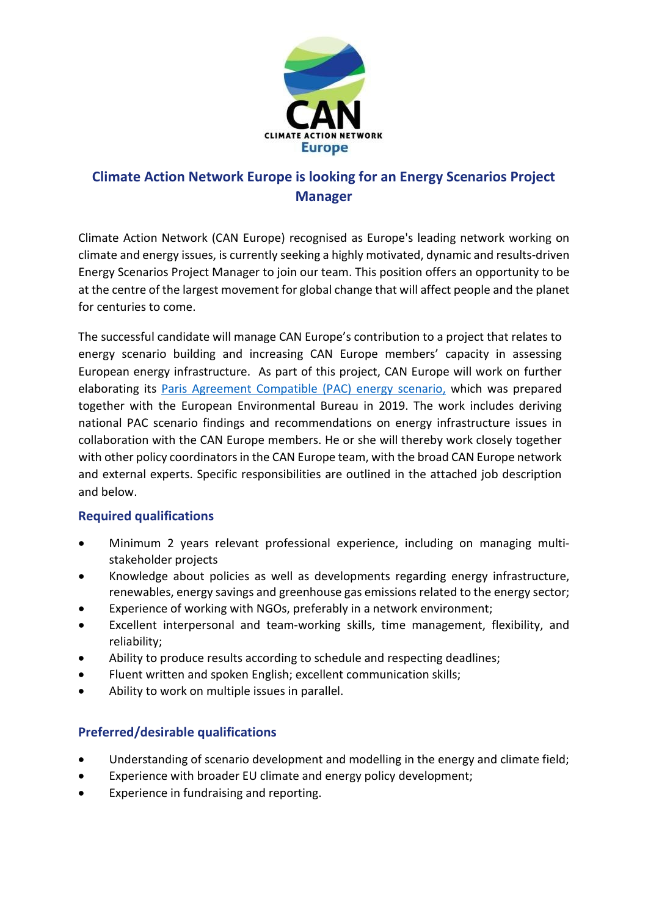

# **Climate Action Network Europe is looking for an Energy Scenarios Project Manager**

Climate Action Network (CAN Europe) recognised as Europe's leading network working on climate and energy issues, is currently seeking a highly motivated, dynamic and results-driven Energy Scenarios Project Manager to join our team. This position offers an opportunity to be at the centre of the largest movement for global change that will affect people and the planet for centuries to come.

The successful candidate will manage CAN Europe's contribution to a project that relates to energy scenario building and increasing CAN Europe members' capacity in assessing European energy infrastructure. As part of this project, CAN Europe will work on further elaborating its [Paris Agreement Compatible \(PAC\) energy scenario,](https://caneurope.org/content/uploads/2020/06/PAC_scenario_technical_summary_29jun20.pdf) which was prepared together with the European Environmental Bureau in 2019. The work includes deriving national PAC scenario findings and recommendations on energy infrastructure issues in collaboration with the CAN Europe members. He or she will thereby work closely together with other policy coordinators in the CAN Europe team, with the broad CAN Europe network and external experts. Specific responsibilities are outlined in the attached job description and below.

## **Required qualifications**

- Minimum 2 years relevant professional experience, including on managing multistakeholder projects
- Knowledge about policies as well as developments regarding energy infrastructure, renewables, energy savings and greenhouse gas emissions related to the energy sector;
- Experience of working with NGOs, preferably in a network environment;
- Excellent interpersonal and team-working skills, time management, flexibility, and reliability;
- Ability to produce results according to schedule and respecting deadlines;
- Fluent written and spoken English; excellent communication skills;
- Ability to work on multiple issues in parallel.

## **Preferred/desirable qualifications**

- Understanding of scenario development and modelling in the energy and climate field;
- Experience with broader EU climate and energy policy development;
- Experience in fundraising and reporting.